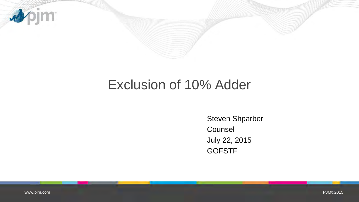

## Exclusion of 10% Adder

Steven Shparber **Counsel** July 22, 2015 **GOFSTF**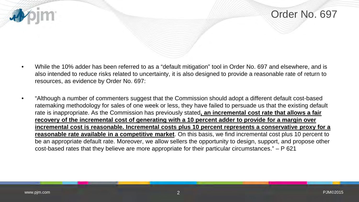



- While the 10% adder has been referred to as a "default mitigation" tool in Order No. 697 and elsewhere, and is also intended to reduce risks related to uncertainty, it is also designed to provide a reasonable rate of return to resources, as evidence by Order No. 697:
- "Although a number of commenters suggest that the Commission should adopt a different default cost-based ratemaking methodology for sales of one week or less, they have failed to persuade us that the existing default rate is inappropriate. As the Commission has previously stated**, an incremental cost rate that allows a fair recovery of the incremental cost of generating with a 10 percent adder to provide for a margin over incremental cost is reasonable. Incremental costs plus 10 percent represents a conservative proxy for a reasonable rate available in a competitive market**. On this basis, we find incremental cost plus 10 percent to be an appropriate default rate. Moreover, we allow sellers the opportunity to design, support, and propose other cost-based rates that they believe are more appropriate for their particular circumstances." – P 621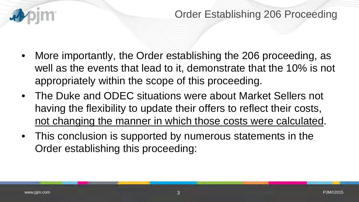

- More importantly, the Order establishing the 206 proceeding, as well as the events that lead to it, demonstrate that the 10% is not appropriately within the scope of this proceeding.
- The Duke and ODEC situations were about Market Sellers not having the flexibility to update their offers to reflect their costs, not changing the manner in which those costs were calculated.
- This conclusion is supported by numerous statements in the Order establishing this proceeding: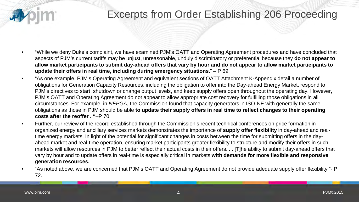

- "While we deny Duke's complaint, we have examined PJM's OATT and Operating Agreement procedures and have concluded that aspects of PJM's current tariffs may be unjust, unreasonable, unduly discriminatory or preferential because they **do not appear to allow market participants to submit day-ahead offers that vary by hour and do not appear to allow market participants to update their offers in real time, including during emergency situations**." – P 69
- "As one example, PJM's Operating Agreement and equivalent sections of OATT Attachment K-Appendix detail a number of obligations for Generation Capacity Resources, including the obligation to offer into the Day-ahead Energy Market, respond to PJM's directives to start, shutdown or change output levels, and keep supply offers open throughout the operating day. However, PJM's OATT and Operating Agreement do not appear to allow appropriate cost recovery for fulfilling those obligations in all circumstances. For example, in *NEPGA*, the Commission found that capacity generators in ISO-NE with generally the same obligations as those in PJM should be able **to update their supply offers in real time to reflect changes to their operating costs after the reoffer . "**–P 70
- Further, our review of the record established through the Commission's recent technical conferences on price formation in organized energy and ancillary services markets demonstrates the importance of **supply offer flexibility** in day-ahead and realtime energy markets. In light of the potential for significant changes in costs between the time for submitting offers in the dayahead market and real-time operation, ensuring market participants greater flexibility to structure and modify their offers in such markets will allow resources in PJM to better reflect their actual costs in their offers. . . [T]he ability to submit day-ahead offers that vary by hour and to update offers in real-time is especially critical in markets **with demands for more flexible and responsive generation resources.**
- "As noted above, we are concerned that PJM's OATT and Operating Agreement do not provide adequate supply offer flexibility."- P 72.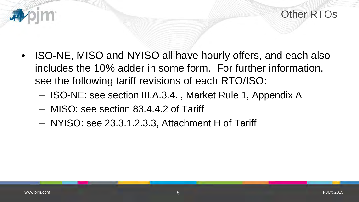

- ISO-NE, MISO and NYISO all have hourly offers, and each also includes the 10% adder in some form. For further information, see the following tariff revisions of each RTO/ISO:
	- ISO-NE: see section III.A.3.4. , Market Rule 1, Appendix A
	- MISO: see section 83.4.4.2 of Tariff
	- NYISO: see 23.3.1.2.3.3, Attachment H of Tariff